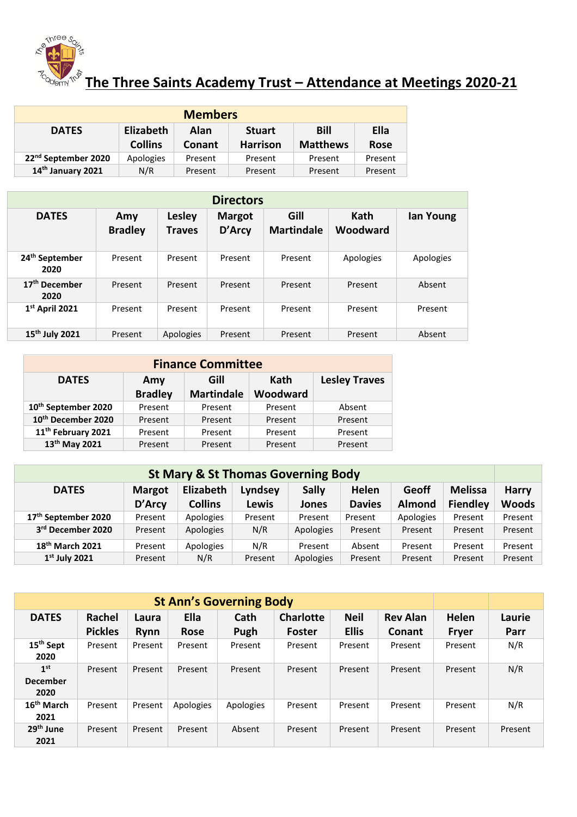

## **The Three Saints Academy Trust – Attendance at Meetings 2020-21**

| <b>Members</b>                  |                                                           |               |                 |                 |             |  |  |  |
|---------------------------------|-----------------------------------------------------------|---------------|-----------------|-----------------|-------------|--|--|--|
| <b>DATES</b>                    | <b>Bill</b><br>Elizabeth<br>Ella<br>Alan<br><b>Stuart</b> |               |                 |                 |             |  |  |  |
|                                 | <b>Collins</b>                                            | <b>Conant</b> | <b>Harrison</b> | <b>Matthews</b> | <b>Rose</b> |  |  |  |
| 22 <sup>nd</sup> September 2020 | Apologies                                                 | Present       | Present         | Present         | Present     |  |  |  |
| 14th January 2021               | N/R                                                       | Present       | Present         | Present         | Present     |  |  |  |

| <b>Directors</b>                   |                       |                                |                         |                           |                  |           |  |  |
|------------------------------------|-----------------------|--------------------------------|-------------------------|---------------------------|------------------|-----------|--|--|
| <b>DATES</b>                       | Amy<br><b>Bradley</b> | <b>Lesley</b><br><b>Traves</b> | <b>Margot</b><br>D'Arcy | Gill<br><b>Martindale</b> | Kath<br>Woodward | lan Young |  |  |
| 24 <sup>th</sup> September<br>2020 | Present               | Present                        | Present                 | Present                   | Apologies        | Apologies |  |  |
| 17 <sup>th</sup> December<br>2020  | Present               | Present                        | Present                 | Present                   | Present          | Absent    |  |  |
| $1st$ April 2021                   | Present               | Present                        | Present                 | Present                   | Present          | Present   |  |  |
| 15 <sup>th</sup> July 2021         | Present               | Apologies                      | Present                 | Present                   | Present          | Absent    |  |  |

| <b>Finance Committee</b>        |                |                   |          |                      |  |  |  |  |
|---------------------------------|----------------|-------------------|----------|----------------------|--|--|--|--|
| <b>DATES</b>                    | Amy            | Gill              | Kath     | <b>Lesley Traves</b> |  |  |  |  |
|                                 | <b>Bradley</b> | <b>Martindale</b> | Woodward |                      |  |  |  |  |
| 10 <sup>th</sup> September 2020 | Present        | Present           | Present  | Absent               |  |  |  |  |
| 10 <sup>th</sup> December 2020  | Present        | Present           | Present  | Present              |  |  |  |  |
| 11 <sup>th</sup> February 2021  | Present        | Present           | Present  | Present              |  |  |  |  |
| 13 <sup>th</sup> May 2021       | Present        | Present           | Present  | Present              |  |  |  |  |

| <b>St Mary &amp; St Thomas Governing Body</b>                                                                    |         |                |         |           |               |               |                 |              |
|------------------------------------------------------------------------------------------------------------------|---------|----------------|---------|-----------|---------------|---------------|-----------------|--------------|
| Elizabeth<br><b>Sally</b><br>Geoff<br><b>Helen</b><br><b>Melissa</b><br>Lyndsey<br><b>DATES</b><br><b>Margot</b> |         |                |         |           |               |               |                 | <b>Harry</b> |
|                                                                                                                  | D'Arcy  | <b>Collins</b> | Lewis   | Jones     | <b>Davies</b> | <b>Almond</b> | <b>Fiendley</b> | <b>Woods</b> |
| 17 <sup>th</sup> September 2020                                                                                  | Present | Apologies      | Present | Present   | Present       | Apologies     | Present         | Present      |
| 3rd December 2020                                                                                                | Present | Apologies      | N/R     | Apologies | Present       | Present       | Present         | Present      |
| 18 <sup>th</sup> March 2021                                                                                      | Present | Apologies      | N/R     | Present   | Absent        | Present       | Present         | Present      |
| $1st$ July 2021                                                                                                  | Present | N/R            | Present | Apologies | Present       | Present       | Present         | Present      |

| <b>St Ann's Governing Body</b> |                |         |             |           |                  |              |                 |              |         |
|--------------------------------|----------------|---------|-------------|-----------|------------------|--------------|-----------------|--------------|---------|
| <b>DATES</b>                   | Rachel         | Laura   | Ella        | Cath      | <b>Charlotte</b> | <b>Neil</b>  | <b>Rev Alan</b> | Helen        | Laurie  |
|                                | <b>Pickles</b> | Rynn    | <b>Rose</b> | Pugh      | <b>Foster</b>    | <b>Ellis</b> | Conant          | <b>Fryer</b> | Parr    |
| 15 <sup>th</sup> Sept          | Present        | Present | Present     | Present   | Present          | Present      | Present         | Present      | N/R     |
| 2020                           |                |         |             |           |                  |              |                 |              |         |
| 1 <sup>st</sup>                | Present        | Present | Present     | Present   | Present          | Present      | Present         | Present      | N/R     |
| <b>December</b>                |                |         |             |           |                  |              |                 |              |         |
| 2020                           |                |         |             |           |                  |              |                 |              |         |
| 16 <sup>th</sup> March         | Present        | Present | Apologies   | Apologies | Present          | Present      | Present         | Present      | N/R     |
| 2021                           |                |         |             |           |                  |              |                 |              |         |
| 29 <sup>th</sup> June          | Present        | Present | Present     | Absent    | Present          | Present      | Present         | Present      | Present |
| 2021                           |                |         |             |           |                  |              |                 |              |         |